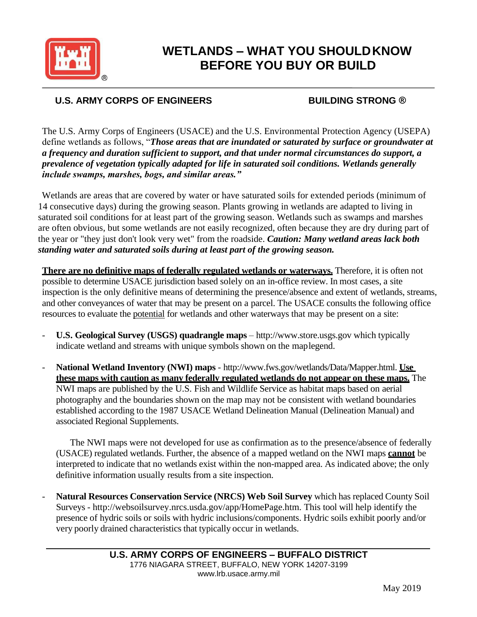

# **WETLANDS – WHAT YOU SHOULDKNOW BEFORE YOU BUY OR BUILD**

# **U.S. ARMY CORPS OF ENGINEERS BUILDING STRONG** ®

The U.S. Army Corps of Engineers (USACE) and the U.S. Environmental Protection Agency (USEPA) define wetlands as follows, "*Those areas that are inundated or saturated by surface or groundwater at a frequency and duration sufficient to support, and that under normal circumstances do support, a prevalence of vegetation typically adapted for life in saturated soil conditions. Wetlands generally include swamps, marshes, bogs, and similar areas."*

Wetlands are areas that are covered by water or have saturated soils for extended periods (minimum of 14 consecutive days) during the growing season. Plants growing in wetlands are adapted to living in saturated soil conditions for at least part of the growing season. Wetlands such as swamps and marshes are often obvious, but some wetlands are not easily recognized, often because they are dry during part of the year or "they just don't look very wet" from the roadside. *Caution: Many wetland areas lack both standing water and saturated soils during at least part of the growing season.*

**There are no definitive maps of federally regulated wetlands or waterways.** Therefore, it is often not possible to determine USACE jurisdiction based solely on an in-office review. In most cases, a site inspection is the only definitive means of determining the presence/absence and extent of wetlands, streams, and other conveyances of water that may be present on a parcel. The USACE consults the following office resources to evaluate the potential for wetlands and other waterways that may be present on a site:

- **U.S. Geological Survey (USGS) quadrangle maps**  [http://www.store.usgs.gov w](http://www.store.usgs.gov/)hich typically indicate wetland and streams with unique symbols shown on the maplegend.
- **National Wetland Inventory (NWI) maps**  [http://www.fws.gov/wetlands/Data/Mapper.html.](http://www.fws.gov/wetlands/Data/Mapper.html) **Use these maps with caution as many federally regulated wetlands do not appear on these maps.** The NWI maps are published by the U.S. Fish and Wildlife Service as habitat maps based on aerial photography and the boundaries shown on the map may not be consistent with wetland boundaries established according to the 1987 USACE Wetland Delineation Manual (Delineation Manual) and associated Regional Supplements.

The NWI maps were not developed for use as confirmation as to the presence/absence of federally (USACE) regulated wetlands. Further, the absence of a mapped wetland on the NWI maps **cannot** be interpreted to indicate that no wetlands exist within the non-mapped area. As indicated above; the only definitive information usually results from a site inspection.

- **Natural Resources Conservation Service (NRCS) Web Soil Survey** which has replaced County Soil Surveys - [http://websoilsurvey.nrcs.usda.gov/app/HomePage.htm.](http://websoilsurvey.nrcs.usda.gov/app/HomePage.htm) This tool will help identify the presence of hydric soils or soils with hydric inclusions/components. Hydric soils exhibit poorly and/or very poorly drained characteristics that typically occur in wetlands.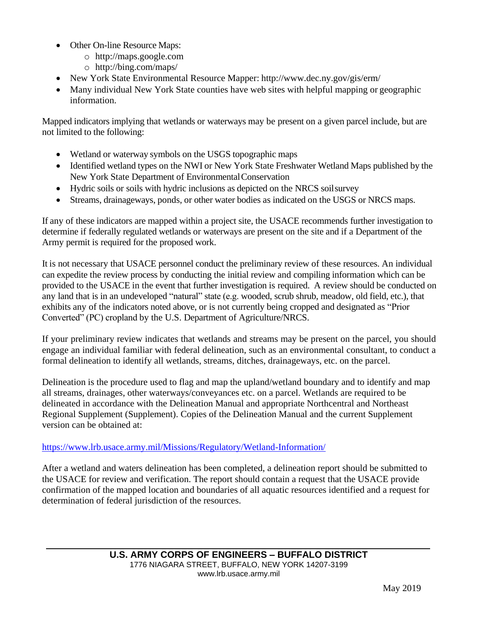- Other On-line Resource Maps:
	- o [http://maps.google.com](http://maps.google.com/)
	- o <http://bing.com/maps/>
- New York State Environmental Resource Mapper: <http://www.dec.ny.gov/gis/erm/>
- Many individual New York State counties have web sites with helpful mapping or geographic information.

Mapped indicators implying that wetlands or waterways may be present on a given parcel include, but are not limited to the following:

- Wetland or waterway symbols on the USGS topographic maps
- Identified wetland types on the NWI or New York State Freshwater Wetland Maps published by the New York State Department of EnvironmentalConservation
- Hydric soils or soils with hydric inclusions as depicted on the NRCS soilsurvey
- Streams, drainageways, ponds, or other water bodies as indicated on the USGS or NRCS maps.

If any of these indicators are mapped within a project site, the USACE recommends further investigation to determine if federally regulated wetlands or waterways are present on the site and if a Department of the Army permit is required for the proposed work.

It is not necessary that USACE personnel conduct the preliminary review of these resources. An individual can expedite the review process by conducting the initial review and compiling information which can be provided to the USACE in the event that further investigation is required. A review should be conducted on any land that is in an undeveloped "natural" state (e.g. wooded, scrub shrub, meadow, old field, etc.), that exhibits any of the indicators noted above, or is not currently being cropped and designated as "Prior Converted" (PC) cropland by the U.S. Department of Agriculture/NRCS.

If your preliminary review indicates that wetlands and streams may be present on the parcel, you should engage an individual familiar with federal delineation, such as an environmental consultant, to conduct a formal delineation to identify all wetlands, streams, ditches, drainageways, etc. on the parcel.

Delineation is the procedure used to flag and map the upland/wetland boundary and to identify and map all streams, drainages, other waterways/conveyances etc. on a parcel. Wetlands are required to be delineated in accordance with the Delineation Manual and appropriate Northcentral and Northeast Regional Supplement (Supplement). Copies of the Delineation Manual and the current Supplement version can be obtained at:

## <https://www.lrb.usace.army.mil/Missions/Regulatory/Wetland-Information/>

After a wetland and waters delineation has been completed, a delineation report should be submitted to the USACE for review and verification. The report should contain a request that the USACE provide confirmation of the mapped location and boundaries of all aquatic resources identified and a request for determination of federal jurisdiction of the resources.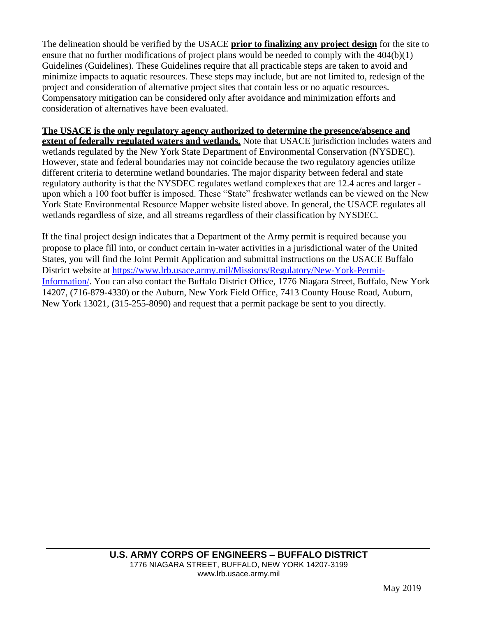The delineation should be verified by the USACE **prior to finalizing any project design** for the site to ensure that no further modifications of project plans would be needed to comply with the 404(b)(1) Guidelines (Guidelines). These Guidelines require that all practicable steps are taken to avoid and minimize impacts to aquatic resources. These steps may include, but are not limited to, redesign of the project and consideration of alternative project sites that contain less or no aquatic resources. Compensatory mitigation can be considered only after avoidance and minimization efforts and consideration of alternatives have been evaluated.

### **The USACE is the only regulatory agency authorized to determine the presence/absence and**

**extent of federally regulated waters and wetlands.** Note that USACE jurisdiction includes waters and wetlands regulated by the New York State Department of Environmental Conservation (NYSDEC). However, state and federal boundaries may not coincide because the two regulatory agencies utilize different criteria to determine wetland boundaries. The major disparity between federal and state regulatory authority is that the NYSDEC regulates wetland complexes that are 12.4 acres and larger upon which a 100 foot buffer is imposed. These "State" freshwater wetlands can be viewed on the New York State Environmental Resource Mapper website listed above. In general, the USACE regulates all wetlands regardless of size, and all streams regardless of their classification by NYSDEC.

If the final project design indicates that a Department of the Army permit is required because you propose to place fill into, or conduct certain in-water activities in a jurisdictional water of the United States, you will find the Joint Permit Application and submittal instructions on the USACE Buffalo District website [at](http://www.lrb.usace.army.mil/Missions/Regulatory.aspx) [https://www.lrb.usace.army.mil/Missions/Regulatory/New-York-Permit-](https://www.lrb.usace.army.mil/Missions/Regulatory/New-York-Permit-Information/)[Information/.](https://www.lrb.usace.army.mil/Missions/Regulatory/New-York-Permit-Information/) You can also contact the Buffalo District Office, 1776 Niagara Street, Buffalo, New York 14207, (716-879-4330) or the Auburn, New York Field Office, 7413 County House Road, Auburn, New York 13021, (315-255-8090) and request that a permit package be sent to you directly.